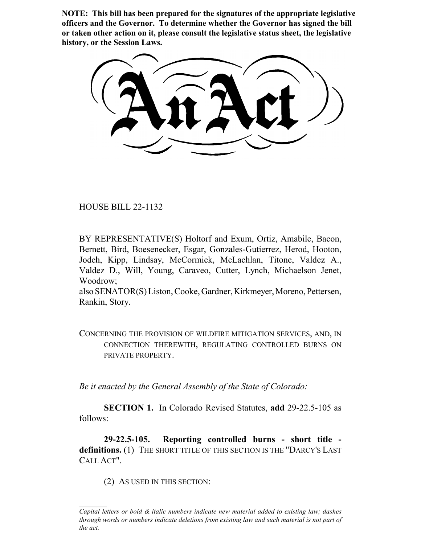**NOTE: This bill has been prepared for the signatures of the appropriate legislative officers and the Governor. To determine whether the Governor has signed the bill or taken other action on it, please consult the legislative status sheet, the legislative history, or the Session Laws.**

HOUSE BILL 22-1132

BY REPRESENTATIVE(S) Holtorf and Exum, Ortiz, Amabile, Bacon, Bernett, Bird, Boesenecker, Esgar, Gonzales-Gutierrez, Herod, Hooton, Jodeh, Kipp, Lindsay, McCormick, McLachlan, Titone, Valdez A., Valdez D., Will, Young, Caraveo, Cutter, Lynch, Michaelson Jenet, Woodrow;

also SENATOR(S) Liston, Cooke, Gardner, Kirkmeyer, Moreno, Pettersen, Rankin, Story.

CONCERNING THE PROVISION OF WILDFIRE MITIGATION SERVICES, AND, IN CONNECTION THEREWITH, REGULATING CONTROLLED BURNS ON PRIVATE PROPERTY.

*Be it enacted by the General Assembly of the State of Colorado:*

**SECTION 1.** In Colorado Revised Statutes, **add** 29-22.5-105 as follows:

**29-22.5-105. Reporting controlled burns - short title**  definitions. (1) THE SHORT TITLE OF THIS SECTION IS THE "DARCY'S LAST CALL ACT".

(2) AS USED IN THIS SECTION:

*Capital letters or bold & italic numbers indicate new material added to existing law; dashes through words or numbers indicate deletions from existing law and such material is not part of the act.*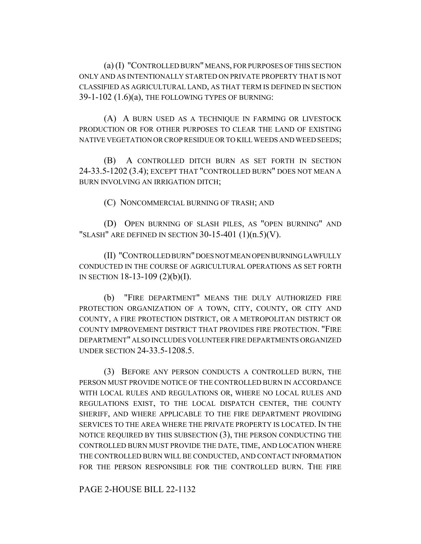(a) (I) "CONTROLLED BURN" MEANS, FOR PURPOSES OF THIS SECTION ONLY AND AS INTENTIONALLY STARTED ON PRIVATE PROPERTY THAT IS NOT CLASSIFIED AS AGRICULTURAL LAND, AS THAT TERM IS DEFINED IN SECTION 39-1-102 (1.6)(a), THE FOLLOWING TYPES OF BURNING:

(A) A BURN USED AS A TECHNIQUE IN FARMING OR LIVESTOCK PRODUCTION OR FOR OTHER PURPOSES TO CLEAR THE LAND OF EXISTING NATIVE VEGETATION OR CROP RESIDUE OR TO KILL WEEDS AND WEED SEEDS;

(B) A CONTROLLED DITCH BURN AS SET FORTH IN SECTION 24-33.5-1202 (3.4); EXCEPT THAT "CONTROLLED BURN" DOES NOT MEAN A BURN INVOLVING AN IRRIGATION DITCH;

(C) NONCOMMERCIAL BURNING OF TRASH; AND

(D) OPEN BURNING OF SLASH PILES, AS "OPEN BURNING" AND "SLASH" ARE DEFINED IN SECTION  $30-15-401$  (1) $(n.5)(V)$ .

(II) "CONTROLLED BURN" DOES NOT MEAN OPEN BURNING LAWFULLY CONDUCTED IN THE COURSE OF AGRICULTURAL OPERATIONS AS SET FORTH IN SECTION 18-13-109 (2)(b)(I).

(b) "FIRE DEPARTMENT" MEANS THE DULY AUTHORIZED FIRE PROTECTION ORGANIZATION OF A TOWN, CITY, COUNTY, OR CITY AND COUNTY, A FIRE PROTECTION DISTRICT, OR A METROPOLITAN DISTRICT OR COUNTY IMPROVEMENT DISTRICT THAT PROVIDES FIRE PROTECTION. "FIRE DEPARTMENT" ALSO INCLUDES VOLUNTEER FIRE DEPARTMENTS ORGANIZED UNDER SECTION 24-33.5-1208.5.

(3) BEFORE ANY PERSON CONDUCTS A CONTROLLED BURN, THE PERSON MUST PROVIDE NOTICE OF THE CONTROLLED BURN IN ACCORDANCE WITH LOCAL RULES AND REGULATIONS OR, WHERE NO LOCAL RULES AND REGULATIONS EXIST, TO THE LOCAL DISPATCH CENTER, THE COUNTY SHERIFF, AND WHERE APPLICABLE TO THE FIRE DEPARTMENT PROVIDING SERVICES TO THE AREA WHERE THE PRIVATE PROPERTY IS LOCATED. IN THE NOTICE REQUIRED BY THIS SUBSECTION (3), THE PERSON CONDUCTING THE CONTROLLED BURN MUST PROVIDE THE DATE, TIME, AND LOCATION WHERE THE CONTROLLED BURN WILL BE CONDUCTED, AND CONTACT INFORMATION FOR THE PERSON RESPONSIBLE FOR THE CONTROLLED BURN. THE FIRE

PAGE 2-HOUSE BILL 22-1132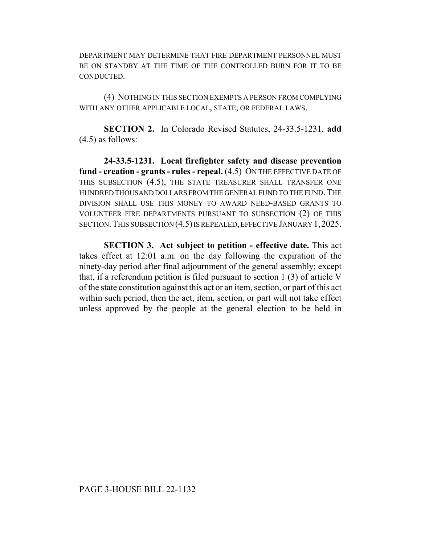DEPARTMENT MAY DETERMINE THAT FIRE DEPARTMENT PERSONNEL MUST BE ON STANDBY AT THE TIME OF THE CONTROLLED BURN FOR IT TO BE CONDUCTED.

(4) NOTHING IN THIS SECTION EXEMPTS A PERSON FROM COMPLYING WITH ANY OTHER APPLICABLE LOCAL, STATE, OR FEDERAL LAWS.

**SECTION 2.** In Colorado Revised Statutes, 24-33.5-1231, **add** (4.5) as follows:

**24-33.5-1231. Local firefighter safety and disease prevention fund - creation - grants - rules - repeal.** (4.5) ON THE EFFECTIVE DATE OF THIS SUBSECTION (4.5), THE STATE TREASURER SHALL TRANSFER ONE HUNDRED THOUSAND DOLLARS FROM THE GENERAL FUND TO THE FUND. THE DIVISION SHALL USE THIS MONEY TO AWARD NEED-BASED GRANTS TO VOLUNTEER FIRE DEPARTMENTS PURSUANT TO SUBSECTION (2) OF THIS SECTION.THIS SUBSECTION (4.5) IS REPEALED, EFFECTIVE JANUARY 1,2025.

**SECTION 3. Act subject to petition - effective date.** This act takes effect at 12:01 a.m. on the day following the expiration of the ninety-day period after final adjournment of the general assembly; except that, if a referendum petition is filed pursuant to section 1 (3) of article V of the state constitution against this act or an item, section, or part of this act within such period, then the act, item, section, or part will not take effect unless approved by the people at the general election to be held in